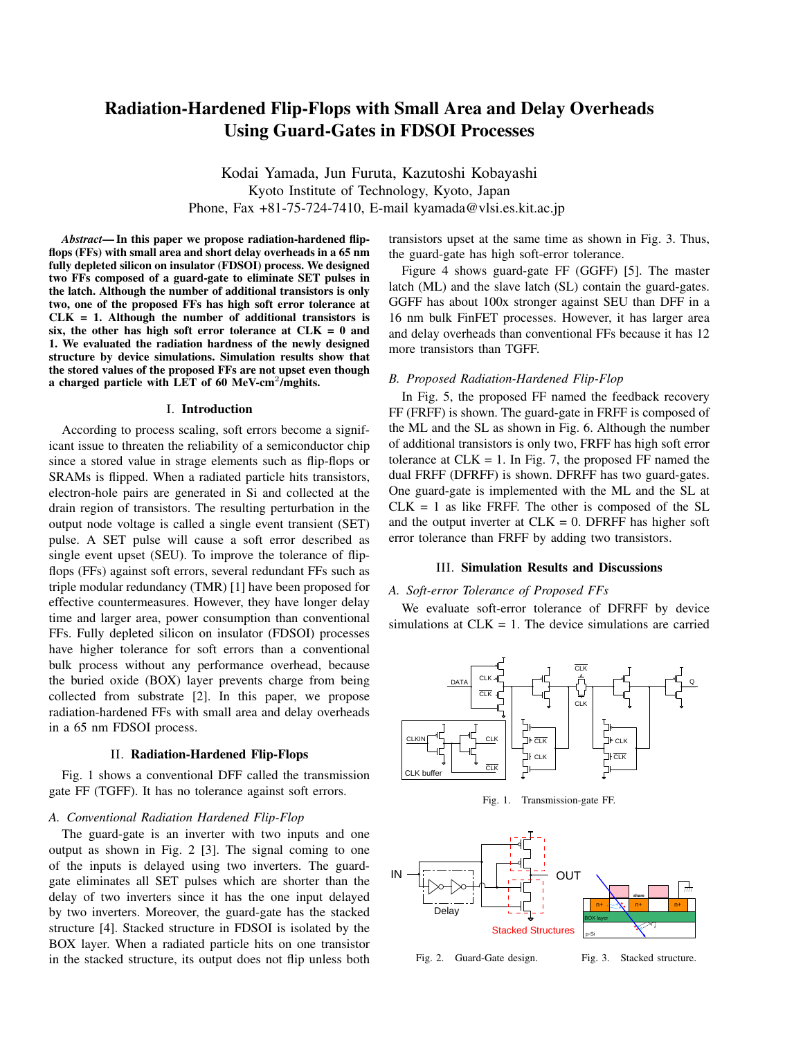# Radiation-Hardened Flip-Flops with Small Area and Delay Overheads Using Guard-Gates in FDSOI Processes

Kodai Yamada, Jun Furuta, Kazutoshi Kobayashi Kyoto Institute of Technology, Kyoto, Japan Phone, Fax +81-75-724-7410, E-mail kyamada@vlsi.es.kit.ac.jp

*Abstract*— In this paper we propose radiation-hardened flipflops (FFs) with small area and short delay overheads in a 65 nm fully depleted silicon on insulator (FDSOI) process. We designed two FFs composed of a guard-gate to eliminate SET pulses in the latch. Although the number of additional transistors is only two, one of the proposed FFs has high soft error tolerance at  $CLK = 1$ . Although the number of additional transistors is six, the other has high soft error tolerance at  $CLK = 0$  and 1. We evaluated the radiation hardness of the newly designed structure by device simulations. Simulation results show that the stored values of the proposed FFs are not upset even though a charged particle with LET of 60 MeV-cm<sup>2</sup>/mghits.

#### I. Introduction

According to process scaling, soft errors become a significant issue to threaten the reliability of a semiconductor chip since a stored value in strage elements such as flip-flops or SRAMs is flipped. When a radiated particle hits transistors, electron-hole pairs are generated in Si and collected at the drain region of transistors. The resulting perturbation in the output node voltage is called a single event transient (SET) pulse. A SET pulse will cause a soft error described as single event upset (SEU). To improve the tolerance of flipflops (FFs) against soft errors, several redundant FFs such as triple modular redundancy (TMR) [1] have been proposed for effective countermeasures. However, they have longer delay time and larger area, power consumption than conventional FFs. Fully depleted silicon on insulator (FDSOI) processes have higher tolerance for soft errors than a conventional bulk process without any performance overhead, because the buried oxide (BOX) layer prevents charge from being collected from substrate [2]. In this paper, we propose radiation-hardened FFs with small area and delay overheads in a 65 nm FDSOI process.

# II. Radiation-Hardened Flip-Flops

Fig. 1 shows a conventional DFF called the transmission gate FF (TGFF). It has no tolerance against soft errors.

### *A. Conventional Radiation Hardened Flip-Flop*

The guard-gate is an inverter with two inputs and one output as shown in Fig. 2 [3]. The signal coming to one of the inputs is delayed using two inverters. The guardgate eliminates all SET pulses which are shorter than the delay of two inverters since it has the one input delayed by two inverters. Moreover, the guard-gate has the stacked structure [4]. Stacked structure in FDSOI is isolated by the BOX layer. When a radiated particle hits on one transistor in the stacked structure, its output does not flip unless both transistors upset at the same time as shown in Fig. 3. Thus, the guard-gate has high soft-error tolerance.

Figure 4 shows guard-gate FF (GGFF) [5]. The master latch (ML) and the slave latch (SL) contain the guard-gates. GGFF has about 100x stronger against SEU than DFF in a 16 nm bulk FinFET processes. However, it has larger area and delay overheads than conventional FFs because it has 12 more transistors than TGFF.

#### *B. Proposed Radiation-Hardened Flip-Flop*

In Fig. 5, the proposed FF named the feedback recovery FF (FRFF) is shown. The guard-gate in FRFF is composed of the ML and the SL as shown in Fig. 6. Although the number of additional transistors is only two, FRFF has high soft error tolerance at  $CLK = 1$ . In Fig. 7, the proposed FF named the dual FRFF (DFRFF) is shown. DFRFF has two guard-gates. One guard-gate is implemented with the ML and the SL at  $CLK = 1$  as like FRFF. The other is composed of the SL and the output inverter at  $CLK = 0$ . DFRFF has higher soft error tolerance than FRFF by adding two transistors.

#### III. Simulation Results and Discussions

### *A. Soft-error Tolerance of Proposed FFs*

We evaluate soft-error tolerance of DFRFF by device simulations at  $CLK = 1$ . The device simulations are carried



Fig. 1. Transmission-gate FF.



Fig. 2. Guard-Gate design. Fig. 3. Stacked structure.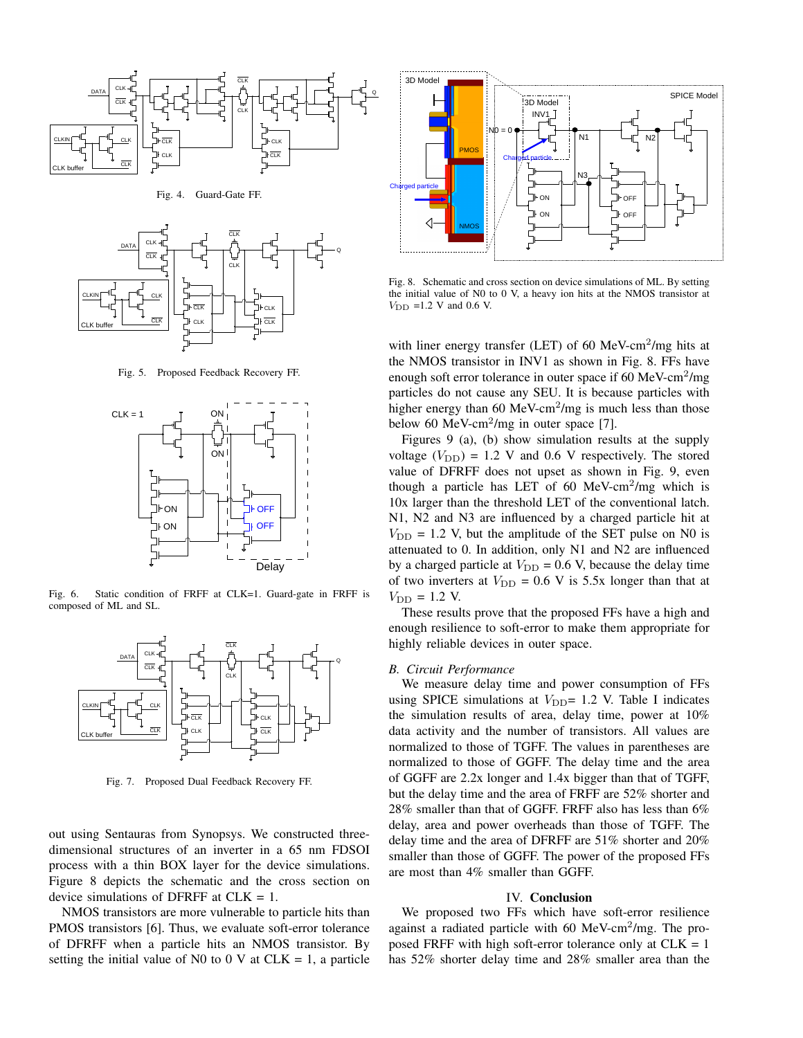

Fig. 4. Guard-Gate FF.



Fig. 5. Proposed Feedback Recovery FF.



Fig. 6. Static condition of FRFF at CLK=1. Guard-gate in FRFF is composed of ML and SL.



Fig. 7. Proposed Dual Feedback Recovery FF.

out using Sentauras from Synopsys. We constructed threedimensional structures of an inverter in a 65 nm FDSOI process with a thin BOX layer for the device simulations. Figure 8 depicts the schematic and the cross section on device simulations of DFRFF at CLK = 1.

NMOS transistors are more vulnerable to particle hits than PMOS transistors [6]. Thus, we evaluate soft-error tolerance of DFRFF when a particle hits an NMOS transistor. By setting the initial value of N0 to 0 V at  $CLK = 1$ , a particle



Fig. 8. Schematic and cross section on device simulations of ML. By setting the initial value of N0 to 0 V, a heavy ion hits at the NMOS transistor at  $V_{\text{DD}}$  =1.2 V and 0.6 V.

with liner energy transfer (LET) of 60 MeV-cm<sup>2</sup>/mg hits at the NMOS transistor in INV1 as shown in Fig. 8. FFs have enough soft error tolerance in outer space if 60 MeV-cm<sup>2</sup>/mg particles do not cause any SEU. It is because particles with higher energy than  $60 \text{ MeV-cm}^2/\text{mg}$  is much less than those below 60 MeV-cm<sup>2</sup>/mg in outer space [7].

Figures 9 (a), (b) show simulation results at the supply voltage  $(V_{\text{DD}}) = 1.2$  V and 0.6 V respectively. The stored value of DFRFF does not upset as shown in Fig. 9, even though a particle has LET of 60 MeV-cm<sup>2</sup>/mg which is 10x larger than the threshold LET of the conventional latch. N1, N2 and N3 are influenced by a charged particle hit at  $V_{\text{DD}}$  = 1.2 V, but the amplitude of the SET pulse on N0 is attenuated to 0. In addition, only N1 and N2 are influenced by a charged particle at  $V_{\text{DD}} = 0.6$  V, because the delay time of two inverters at  $V_{\text{DD}} = 0.6$  V is 5.5x longer than that at  $V_{\text{DD}} = 1.2 \text{ V}$ .

These results prove that the proposed FFs have a high and enough resilience to soft-error to make them appropriate for highly reliable devices in outer space.

## *B. Circuit Performance*

We measure delay time and power consumption of FFs using SPICE simulations at  $V_{\text{DD}}$ = 1.2 V. Table I indicates the simulation results of area, delay time, power at 10% data activity and the number of transistors. All values are normalized to those of TGFF. The values in parentheses are normalized to those of GGFF. The delay time and the area of GGFF are 2.2x longer and 1.4x bigger than that of TGFF, but the delay time and the area of FRFF are 52% shorter and 28% smaller than that of GGFF. FRFF also has less than 6% delay, area and power overheads than those of TGFF. The delay time and the area of DFRFF are 51% shorter and 20% smaller than those of GGFF. The power of the proposed FFs are most than 4% smaller than GGFF.

#### IV. Conclusion

We proposed two FFs which have soft-error resilience against a radiated particle with 60 MeV-cm<sup>2</sup>/mg. The proposed FRFF with high soft-error tolerance only at  $CLK = 1$ has 52% shorter delay time and 28% smaller area than the